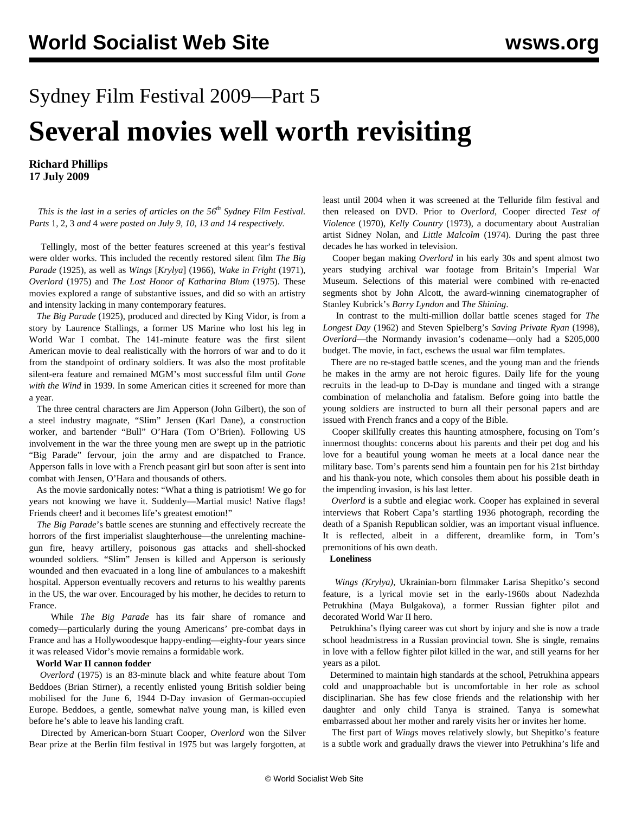# Sydney Film Festival 2009—Part 5 **Several movies well worth revisiting**

**Richard Phillips 17 July 2009**

 *This is the last in a series of articles on the 56th Sydney Film Festival. Parts* [1](/en/articles/2009/jul2009/sff1-j09.shtml)*,* [2](/en/articles/2009/jul2009/sff2-j10.shtml)*,* [3](/en/articles/2009/jul2009/sff3-j13.shtml) *and* [4](/en/articles/2009/jul2009/sff4-j14.shtml) *were posted on July 9, 10, 13 and 14 respectively.*

 Tellingly, most of the better features screened at this year's festival were older works. This included the recently restored silent film *The Big Parade* (1925), as well as *Wings* [*Krylya*] (1966), *Wake in Fright* (1971), *Overlord* (1975) and *The Lost Honor of Katharina Blum* (1975). These movies explored a range of substantive issues, and did so with an artistry and intensity lacking in many contemporary features.

 *The Big Parade* (1925), produced and directed by King Vidor, is from a story by Laurence Stallings, a former US Marine who lost his leg in World War I combat. The 141-minute feature was the first silent American movie to deal realistically with the horrors of war and to do it from the standpoint of ordinary soldiers. It was also the most profitable silent-era feature and remained MGM's most successful film until *Gone with the Wind* in 1939. In some American cities it screened for more than a year.

 The three central characters are Jim Apperson (John Gilbert), the son of a steel industry magnate, "Slim" Jensen (Karl Dane), a construction worker, and bartender "Bull" O'Hara (Tom O'Brien). Following US involvement in the war the three young men are swept up in the patriotic "Big Parade" fervour, join the army and are dispatched to France. Apperson falls in love with a French peasant girl but soon after is sent into combat with Jensen, O'Hara and thousands of others.

 As the movie sardonically notes: "What a thing is patriotism! We go for years not knowing we have it. Suddenly—Martial music! Native flags! Friends cheer! and it becomes life's greatest emotion!"

 *The Big Parade*'s battle scenes are stunning and effectively recreate the horrors of the first imperialist slaughterhouse—the unrelenting machinegun fire, heavy artillery, poisonous gas attacks and shell-shocked wounded soldiers. "Slim" Jensen is killed and Apperson is seriously wounded and then evacuated in a long line of ambulances to a makeshift hospital. Apperson eventually recovers and returns to his wealthy parents in the US, the war over. Encouraged by his mother, he decides to return to France.

 While *The Big Parade* has its fair share of romance and comedy—particularly during the young Americans' pre-combat days in France and has a Hollywoodesque happy-ending—eighty-four years since it was released Vidor's movie remains a formidable work.

#### **World War II cannon fodder**

 *Overlord* (1975) is an 83-minute black and white feature about Tom Beddoes (Brian Stirner), a recently enlisted young British soldier being mobilised for the June 6, 1944 D-Day invasion of German-occupied Europe. Beddoes, a gentle, somewhat naïve young man, is killed even before he's able to leave his landing craft.

 Directed by American-born Stuart Cooper, *Overlord* won the Silver Bear prize at the Berlin film festival in 1975 but was largely forgotten, at least until 2004 when it was screened at the Telluride film festival and then released on DVD. Prior to *Overlord*, Cooper directed *Test of Violence* (1970), *Kelly Country* (1973), a documentary about Australian artist Sidney Nolan, and *Little Malcolm* (1974). During the past three decades he has worked in television.

 Cooper began making *Overlord* in his early 30s and spent almost two years studying archival war footage from Britain's Imperial War Museum. Selections of this material were combined with re-enacted segments shot by John Alcott, the award-winning cinematographer of Stanley Kubrick's *Barry Lyndon* and *The Shining*.

 In contrast to the multi-million dollar battle scenes staged for *The Longest Day* (1962) and Steven Spielberg's *Saving Private Ryan* (1998), *Overlord*—the Normandy invasion's codename—only had a \$205,000 budget. The movie, in fact, eschews the usual war film templates.

 There are no re-staged battle scenes, and the young man and the friends he makes in the army are not heroic figures. Daily life for the young recruits in the lead-up to D-Day is mundane and tinged with a strange combination of melancholia and fatalism. Before going into battle the young soldiers are instructed to burn all their personal papers and are issued with French francs and a copy of the Bible.

 Cooper skillfully creates this haunting atmosphere, focusing on Tom's innermost thoughts: concerns about his parents and their pet dog and his love for a beautiful young woman he meets at a local dance near the military base. Tom's parents send him a fountain pen for his 21st birthday and his thank-you note, which consoles them about his possible death in the impending invasion, is his last letter.

 *Overlord* is a subtle and elegiac work. Cooper has explained in several interviews that Robert Capa's startling 1936 photograph, recording the death of a Spanish Republican soldier, was an important visual influence. It is reflected, albeit in a different, dreamlike form, in Tom's premonitions of his own death.

### **Loneliness**

 *Wings (Krylya)*, Ukrainian-born filmmaker Larisa Shepitko's second feature, is a lyrical movie set in the early-1960s about Nadezhda Petrukhina (Maya Bulgakova), a former Russian fighter pilot and decorated World War II hero.

 Petrukhina's flying career was cut short by injury and she is now a trade school headmistress in a Russian provincial town. She is single, remains in love with a fellow fighter pilot killed in the war, and still yearns for her years as a pilot.

 Determined to maintain high standards at the school, Petrukhina appears cold and unapproachable but is uncomfortable in her role as school disciplinarian. She has few close friends and the relationship with her daughter and only child Tanya is strained. Tanya is somewhat embarrassed about her mother and rarely visits her or invites her home.

 The first part of *Wings* moves relatively slowly, but Shepitko's feature is a subtle work and gradually draws the viewer into Petrukhina's life and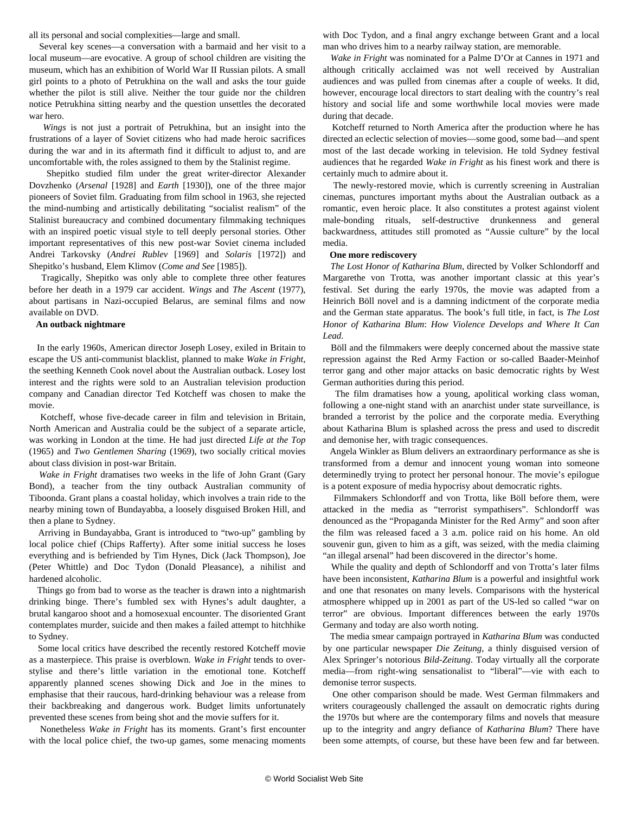all its personal and social complexities—large and small.

 Several key scenes—a conversation with a barmaid and her visit to a local museum—are evocative. A group of school children are visiting the museum, which has an exhibition of World War II Russian pilots. A small girl points to a photo of Petrukhina on the wall and asks the tour guide whether the pilot is still alive. Neither the tour guide nor the children notice Petrukhina sitting nearby and the question unsettles the decorated war hero.

 *Wings* is not just a portrait of Petrukhina, but an insight into the frustrations of a layer of Soviet citizens who had made heroic sacrifices during the war and in its aftermath find it difficult to adjust to, and are uncomfortable with, the roles assigned to them by the Stalinist regime.

 Shepitko studied film under the great writer-director Alexander Dovzhenko (*Arsenal* [1928] and *Earth* [1930]), one of the three major pioneers of Soviet film. Graduating from film school in 1963, she rejected the mind-numbing and artistically debilitating "socialist realism" of the Stalinist bureaucracy and combined documentary filmmaking techniques with an inspired poetic visual style to tell deeply personal stories. Other important representatives of this new post-war Soviet cinema included Andrei Tarkovsky (*Andrei Rublev* [1969] and *Solaris* [1972]) and Shepitko's husband, Elem Klimov (*Come and See* [1985]).

 Tragically, Shepitko was only able to complete three other features before her death in a 1979 car accident. *Wings* and *The Ascent* (1977), about partisans in Nazi-occupied Belarus, are seminal films and now available on DVD.

#### **An outback nightmare**

 In the early 1960s, American director Joseph Losey, exiled in Britain to escape the US anti-communist blacklist, planned to make *Wake in Fright*, the seething Kenneth Cook novel about the Australian outback. Losey lost interest and the rights were sold to an Australian television production company and Canadian director Ted Kotcheff was chosen to make the movie.

 Kotcheff, whose five-decade career in film and television in Britain, North American and Australia could be the subject of a separate article, was working in London at the time. He had just directed *Life at the Top* (1965) and *Two Gentlemen Sharing* (1969), two socially critical movies about class division in post-war Britain.

 *Wake in Fright* dramatises two weeks in the life of John Grant (Gary Bond), a teacher from the tiny outback Australian community of Tiboonda. Grant plans a coastal holiday, which involves a train ride to the nearby mining town of Bundayabba, a loosely disguised Broken Hill, and then a plane to Sydney.

 Arriving in Bundayabba, Grant is introduced to "two-up" gambling by local police chief (Chips Rafferty). After some initial success he loses everything and is befriended by Tim Hynes, Dick (Jack Thompson), Joe (Peter Whittle) and Doc Tydon (Donald Pleasance), a nihilist and hardened alcoholic.

 Things go from bad to worse as the teacher is drawn into a nightmarish drinking binge. There's fumbled sex with Hynes's adult daughter, a brutal kangaroo shoot and a homosexual encounter. The disoriented Grant contemplates murder, suicide and then makes a failed attempt to hitchhike to Sydney.

 Some local critics have described the recently restored Kotcheff movie as a masterpiece. This praise is overblown. *Wake in Fright* tends to overstylise and there's little variation in the emotional tone. Kotcheff apparently planned scenes showing Dick and Joe in the mines to emphasise that their raucous, hard-drinking behaviour was a release from their backbreaking and dangerous work. Budget limits unfortunately prevented these scenes from being shot and the movie suffers for it.

 Nonetheless *Wake in Fright* has its moments. Grant's first encounter with the local police chief, the two-up games, some menacing moments

with Doc Tydon, and a final angry exchange between Grant and a local man who drives him to a nearby railway station, are memorable.

 *Wake in Fright* was nominated for a Palme D'Or at Cannes in 1971 and although critically acclaimed was not well received by Australian audiences and was pulled from cinemas after a couple of weeks. It did, however, encourage local directors to start dealing with the country's real history and social life and some worthwhile local movies were made during that decade.

 Kotcheff returned to North America after the production where he has directed an eclectic selection of movies—some good, some bad—and spent most of the last decade working in television. He told Sydney festival audiences that he regarded *Wake in Fright* as his finest work and there is certainly much to admire about it.

 The newly-restored movie, which is currently screening in Australian cinemas, punctures important myths about the Australian outback as a romantic, even heroic place. It also constitutes a protest against violent male-bonding rituals, self-destructive drunkenness and general backwardness, attitudes still promoted as "Aussie culture" by the local media.

#### **One more rediscovery**

 *The Lost Honor of Katharina Blum,* directed by Volker Schlondorff and Margarethe von Trotta, was another important classic at this year's festival. Set during the early 1970s, the movie was adapted from a Heinrich Böll novel and is a damning indictment of the corporate media and the German state apparatus. The book's full title, in fact, is *The Lost Honor of Katharina Blum*: *How Violence Develops and Where It Can Lead*.

 Böll and the filmmakers were deeply concerned about the massive state repression against the Red Army Faction or so-called Baader-Meinhof terror gang and other major attacks on basic democratic rights by West German authorities during this period.

 The film dramatises how a young, apolitical working class woman, following a one-night stand with an anarchist under state surveillance, is branded a terrorist by the police and the corporate media. Everything about Katharina Blum is splashed across the press and used to discredit and demonise her, with tragic consequences.

 Angela Winkler as Blum delivers an extraordinary performance as she is transformed from a demur and innocent young woman into someone determinedly trying to protect her personal honour. The movie's epilogue is a potent exposure of media hypocrisy about democratic rights.

 Filmmakers Schlondorff and von Trotta, like Böll before them, were attacked in the media as "terrorist sympathisers". Schlondorff was denounced as the "Propaganda Minister for the Red Army" and soon after the film was released faced a 3 a.m. police raid on his home. An old souvenir gun, given to him as a gift, was seized, with the media claiming "an illegal arsenal" had been discovered in the director's home.

 While the quality and depth of Schlondorff and von Trotta's later films have been inconsistent, *Katharina Blum* is a powerful and insightful work and one that resonates on many levels. Comparisons with the hysterical atmosphere whipped up in 2001 as part of the US-led so called "war on terror" are obvious. Important differences between the early 1970s Germany and today are also worth noting.

 The media smear campaign portrayed in *Katharina Blum* was conducted by one particular newspaper *Die Zeitung*, a thinly disguised version of Alex Springer's notorious *Bild-Zeitung*. Today virtually all the corporate media—from right-wing sensationalist to "liberal"—vie with each to demonise terror suspects.

 One other comparison should be made. West German filmmakers and writers courageously challenged the assault on democratic rights during the 1970s but where are the contemporary films and novels that measure up to the integrity and angry defiance of *Katharina Blum*? There have been some attempts, of course, but these have been few and far between.